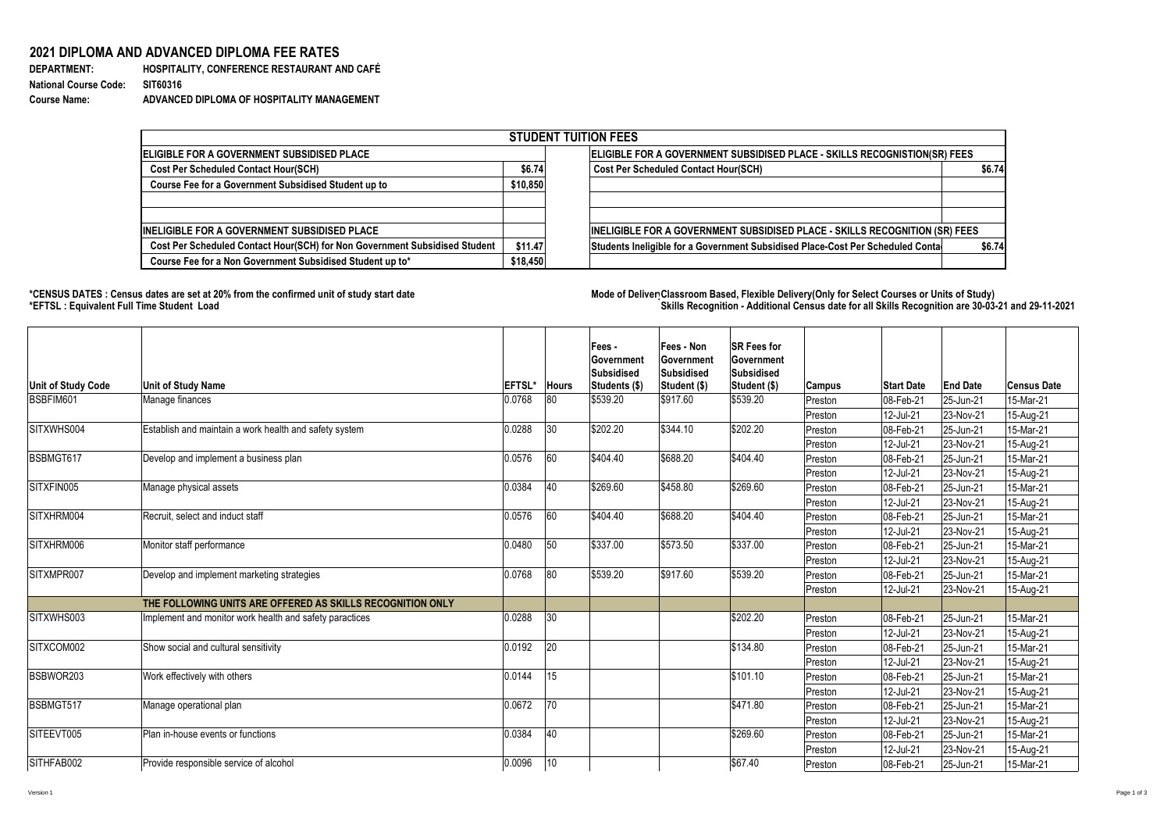## 2021 DIPLOMA AND ADVANCED DIPLOMA FEE RATES

**DEPARTMENT: National Course Code: Course Name:** 

HOSPITALITY, CONFERENCE RESTAURANT AND CAFÉ **SIT60316** ADVANCED DIPLOMA OF HOSPITALITY MANAGEMENT

| <b>STUDENT TUITION FEES</b>                                                |          |                                                                                    |        |  |  |  |  |  |
|----------------------------------------------------------------------------|----------|------------------------------------------------------------------------------------|--------|--|--|--|--|--|
| <b>ELIGIBLE FOR A GOVERNMENT SUBSIDISED PLACE</b>                          |          | ELIGIBLE FOR A GOVERNMENT SUBSIDISED PLACE - SKILLS RECOGNISTION(SR) FEES          |        |  |  |  |  |  |
| <b>Cost Per Scheduled Contact Hour(SCH)</b>                                | \$6.74]  | <b>Cost Per Scheduled Contact Hour(SCH)</b>                                        | \$6.74 |  |  |  |  |  |
| <b>Course Fee for a Government Subsidised Student up to</b>                | \$10,850 |                                                                                    |        |  |  |  |  |  |
| <b>INELIGIBLE FOR A GOVERNMENT SUBSIDISED PLACE</b>                        |          | <b>INELIGIBLE FOR A GOVERNMENT SUBSIDISED PLACE - SKILLS RECOGNITION (SR) FEES</b> |        |  |  |  |  |  |
| Cost Per Scheduled Contact Hour(SCH) for Non Government Subsidised Student | \$11.47  | Students Ineligible for a Government Subsidised Place-Cost Per Scheduled Conta     | \$6.74 |  |  |  |  |  |
| Course Fee for a Non Government Subsidised Student up to*                  | \$18,450 |                                                                                    |        |  |  |  |  |  |

## \*CENSUS DATES : Census dates are set at 20% from the confirmed unit of study start date<br>\*EFTSL : Equivalent Full Time Student Load

| Unit of Study Code | <b>Unit of Study Name</b>                                  | <b>EFTSL*</b> | <b>Hours</b> | Fees -<br><b>Government</b><br><b>Subsidised</b><br><b>Students (\$)</b> | <b>Fees - Non</b><br><b>Government</b><br>Subsidised<br>Student (\$) | <b>SR Fees for</b><br><b>Government</b><br><b>Subsidised</b><br><b>Student (\$)</b> | <b>Campus</b> | <b>Start Date</b>       | <b>End Date</b> | <b>Census Date</b> |
|--------------------|------------------------------------------------------------|---------------|--------------|--------------------------------------------------------------------------|----------------------------------------------------------------------|-------------------------------------------------------------------------------------|---------------|-------------------------|-----------------|--------------------|
| BSBFIM601          | Manage finances                                            | 0.0768        | 80           | \$539.20                                                                 | \$917.60                                                             | \$539.20                                                                            | Preston       | 08-Feb-21               | 25-Jun-21       | 15-Mar-21          |
|                    |                                                            |               |              |                                                                          |                                                                      |                                                                                     | Preston       | 12-Jul-21               | 23-Nov-21       | 15-Aug-21          |
| SITXWHS004         | Establish and maintain a work health and safety system     | 0.0288        | $ 30\rangle$ | \$202.20                                                                 | \$344.10                                                             | \$202.20                                                                            | Preston       | 08-Feb-21               | 25-Jun-21       | 15-Mar-21          |
|                    |                                                            |               |              |                                                                          |                                                                      |                                                                                     | Preston       | 12-Jul-21               | $ 23-Nov-21 $   | 15-Aug-21          |
| BSBMGT617          | Develop and implement a business plan                      | 0.0576        | 60           | \$404.40                                                                 | \$688.20                                                             | \$404.40                                                                            | Preston       | 08-Feb-21               | 25-Jun-21       | 15-Mar-21          |
|                    |                                                            |               |              |                                                                          |                                                                      |                                                                                     | Preston       | 12-Jul-21               | $ 23-Nov-21 $   | 15-Aug-21          |
| SITXFIN005         | Manage physical assets                                     | 0.0384        | 40           | \$269.60                                                                 | \$458.80                                                             | \$269.60                                                                            | Preston       | 08-Feb-21               | 25-Jun-21       | 15-Mar-21          |
|                    |                                                            |               |              |                                                                          |                                                                      |                                                                                     | Preston       | 12-Jul-21               | $ 23-Nov-21 $   | 15-Aug-21          |
| SITXHRM004         | Recruit, select and induct staff                           | 0.0576        | 60           | \$404.40                                                                 | \$688.20                                                             | \$404.40                                                                            | Preston       | 08-Feb-21               | 25-Jun-21       | 15-Mar-21          |
|                    |                                                            |               |              |                                                                          |                                                                      |                                                                                     | Preston       | 12-Jul-21               | $ 23-Nov-21 $   | 15-Aug-21          |
| SITXHRM006         | Monitor staff performance                                  | 0.0480        | 50           | \$337.00                                                                 | \$573.50                                                             | \$337.00                                                                            | Preston       | 08-Feb-21               | 25-Jun-21       | 15-Mar-21          |
|                    |                                                            |               |              |                                                                          |                                                                      |                                                                                     | Preston       | 12-Jul-21               | $ 23-Nov-21 $   | 15-Aug-21          |
| SITXMPR007         | Develop and implement marketing strategies                 | 0.0768        | 80           | \$539.20                                                                 | \$917.60                                                             | \$539.20                                                                            | Preston       | 08-Feb-21               | 25-Jun-21       | 15-Mar-21          |
|                    |                                                            |               |              |                                                                          |                                                                      |                                                                                     | Preston       | $ 12$ -Jul-21           | $ 23-Nov-21 $   | 15-Aug-21          |
|                    | THE FOLLOWING UNITS ARE OFFERED AS SKILLS RECOGNITION ONLY |               |              |                                                                          |                                                                      |                                                                                     |               |                         |                 |                    |
| SITXWHS003         | Implement and monitor work health and safety paractices    | 0.0288        | 30           |                                                                          |                                                                      | \$202.20                                                                            | Preston       | $ 08 - \text{Feb} - 21$ | 25-Jun-21       | 15-Mar-21          |
|                    |                                                            |               |              |                                                                          |                                                                      |                                                                                     | Preston       | 12-Jul-21               | $ 23-Nov-21 $   | 15-Aug-21          |
| SITXCOM002         | Show social and cultural sensitivity                       | 0.0192        | 20           |                                                                          |                                                                      | \$134.80                                                                            | Preston       | 08-Feb-21               | 25-Jun-21       | 15-Mar-21          |
|                    |                                                            |               |              |                                                                          |                                                                      |                                                                                     | Preston       | 12-Jul-21               | 23-Nov-21       | 15-Aug-21          |
| BSBWOR203          | Work effectively with others                               | 0.0144        | 15           |                                                                          |                                                                      | \$101.10                                                                            | Preston       | 08-Feb-21               | 25-Jun-21       | 15-Mar-21          |
|                    |                                                            |               |              |                                                                          |                                                                      |                                                                                     | Preston       | 12-Jul-21               | 23-Nov-21       | 15-Aug-21          |
| BSBMGT517          | Manage operational plan                                    | 0.0672        | 70           |                                                                          |                                                                      | \$471.80                                                                            | Preston       | 08-Feb-21               | $ 25 - Jun-21$  | 15-Mar-21          |
|                    |                                                            |               |              |                                                                          |                                                                      |                                                                                     | Preston       | 12-Jul-21               | $ 23-Nov-21 $   | 15-Aug-21          |
| SITEEVT005         | Plan in-house events or functions                          | 0.0384        | $ 40\rangle$ |                                                                          |                                                                      | \$269.60                                                                            | Preston       | 08-Feb-21               | $ 25 - Jun-21$  | 15-Mar-21          |
|                    |                                                            |               |              |                                                                          |                                                                      |                                                                                     | Preston       | 12-Jul-21               | $ 23-Nov-21 $   | 15-Aug-21          |
| SITHFAB002         | Provide responsible service of alcohol                     | 0.0096        | 10           |                                                                          |                                                                      | \$67.40                                                                             | Preston       | $ 08 - Feb - 21$        | $ 25 - Jun-21$  | 15-Mar-21          |

## Mode of Deliver Classroom Based, Flexible Delivery(Only for Select Courses or Units of Study)<br>Skills Recognition - Additional Census date for all Skills Recognition are 30-03-21 and 29-11-2021



Page 1 of 3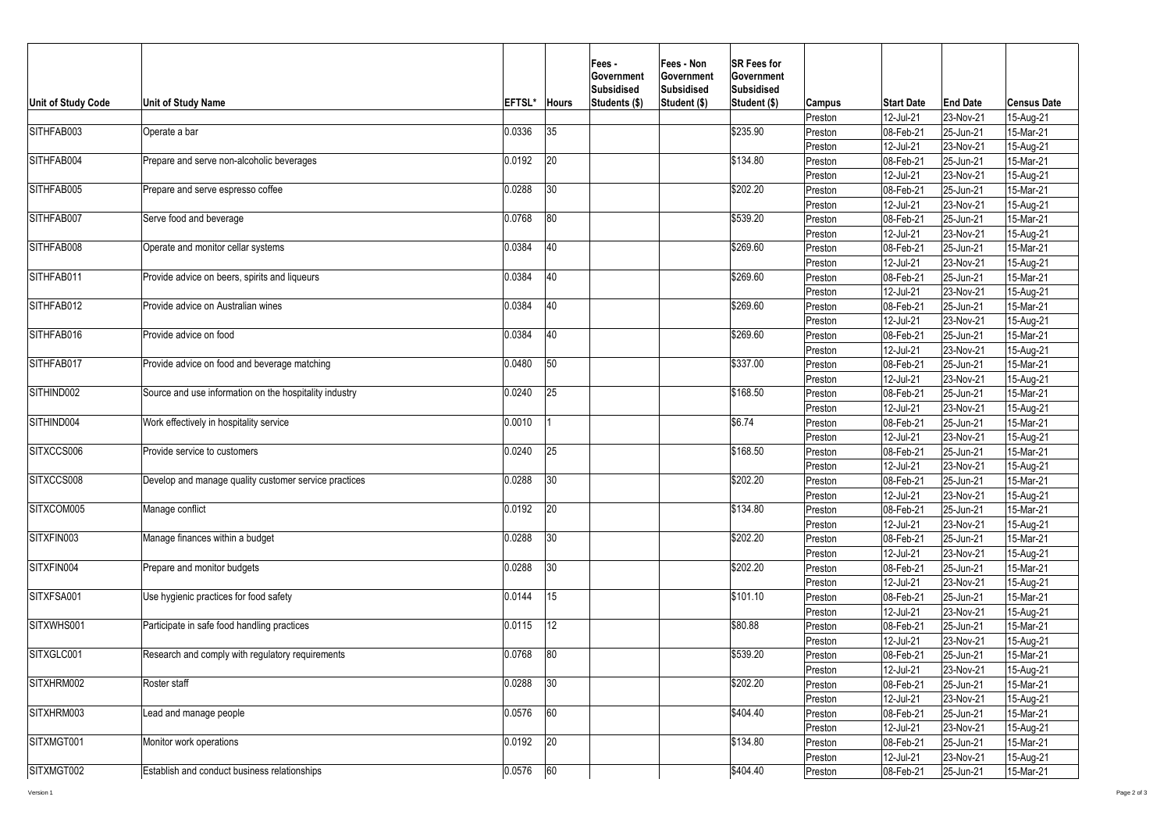| <b>Unit of Study Code</b>                                      | <b>Unit of Study Name</b>                              | <b>EFTSL*</b> | <b>Hours</b> | Fees -<br><b>Government</b><br><b>Subsidised</b><br>Students (\$) | <b>Fees - Non</b><br><b>Government</b><br>Subsidised<br>Student (\$) | <b>SR Fees for</b><br><b>Government</b><br><b>Subsidised</b><br>Student (\$) | <b>Campus</b> | <b>Start Date</b>        | <b>End Date</b> | <b>Census Date</b> |
|----------------------------------------------------------------|--------------------------------------------------------|---------------|--------------|-------------------------------------------------------------------|----------------------------------------------------------------------|------------------------------------------------------------------------------|---------------|--------------------------|-----------------|--------------------|
|                                                                |                                                        |               |              |                                                                   |                                                                      |                                                                              | Preston       | 12-Jul-21                | $ 23-Nov-21 $   | 15-Aug-21          |
| SITHFAB003                                                     | Operate a bar                                          | 0.0336        | 35           |                                                                   |                                                                      | \$235.90                                                                     | Preston       | 08-Feb-21                | 25-Jun-21       | 15-Mar-21          |
|                                                                |                                                        |               |              |                                                                   |                                                                      |                                                                              | Preston       | 12-Jul-21                | $ 23-Nov-21 $   | 15-Aug-21          |
| SITHFAB004                                                     | Prepare and serve non-alcoholic beverages              | 0.0192        | 20           |                                                                   |                                                                      | \$134.80                                                                     | Preston       | 08-Feb-21                | 25-Jun-21       | 15-Mar-21          |
|                                                                |                                                        |               |              |                                                                   |                                                                      |                                                                              | Preston       | 12-Jul-21                | $ 23-Nov-21 $   | 15-Aug-21          |
| SITHFAB005                                                     | Prepare and serve espresso coffee                      | 0.0288        | 30           |                                                                   |                                                                      | \$202.20                                                                     | Preston       | 08-Feb-21                | 25-Jun-21       | 15-Mar-21          |
|                                                                |                                                        |               |              |                                                                   |                                                                      |                                                                              | Preston       | 12-Jul-21                | $ 23-Nov-21 $   | 15-Aug-21          |
| SITHFAB007                                                     | Serve food and beverage                                | 0.0768        | 80           |                                                                   |                                                                      | \$539.20                                                                     | Preston       | $ 08 - Feb - 21$         | $ 25 - Jun-21$  | 15-Mar-21          |
|                                                                |                                                        |               |              |                                                                   |                                                                      |                                                                              | Preston       | 12-Jul-21                | $ 23-Nov-21 $   | 15-Aug-21          |
| SITHFAB008                                                     | Operate and monitor cellar systems                     | 0.0384        | 40           |                                                                   |                                                                      | \$269.60                                                                     | Preston       | $ 08 - Feb - 21$         | 25-Jun-21       | 15-Mar-21          |
|                                                                |                                                        |               |              |                                                                   |                                                                      |                                                                              | Preston       | 12-Jul-21                | $ 23-Nov-21 $   | 15-Aug-21          |
| SITHFAB011                                                     | Provide advice on beers, spirits and liqueurs          | 0.0384        | 40           |                                                                   |                                                                      | \$269.60                                                                     | Preston       | 08-Feb-21                | 25-Jun-21       | 15-Mar-21          |
|                                                                |                                                        |               |              |                                                                   |                                                                      |                                                                              | Preston       | 12-Jul-21                | 23-Nov-21       | 15-Aug-21          |
| SITHFAB012                                                     | Provide advice on Australian wines                     | 0.0384        | 40           |                                                                   |                                                                      | \$269.60                                                                     | Preston       | 08-Feb-21                | 25-Jun-21       | 15-Mar-21          |
|                                                                |                                                        |               |              |                                                                   |                                                                      |                                                                              | Preston       | 12-Jul-21                | 23-Nov-21       | 15-Aug-21          |
| SITHFAB016<br>Provide advice on food                           | 0.0384                                                 | 40            |              |                                                                   | \$269.60                                                             | Preston                                                                      | 08-Feb-21     | 25-Jun-21                | 15-Mar-21       |                    |
|                                                                |                                                        |               |              |                                                                   |                                                                      |                                                                              | Preston       | 12-Jul-21                | $ 23-Nov-21 $   | 15-Aug-21          |
| SITHFAB017<br>Provide advice on food and beverage matching     | 0.0480                                                 | 50            |              |                                                                   | \$337.00                                                             | Preston                                                                      | 08-Feb-21     | $ 25 - Jun-21 $          | 15-Mar-21       |                    |
|                                                                |                                                        |               |              |                                                                   |                                                                      | Preston                                                                      | 12-Jul-21     | $ 23-Nov-21 $            | 15-Aug-21       |                    |
| SITHIND002                                                     | Source and use information on the hospitality industry | 0.0240        | 25           |                                                                   |                                                                      | \$168.50                                                                     | Preston       | 08-Feb-21                | $ 25 - Jun-21$  | 15-Mar-21          |
|                                                                |                                                        |               |              |                                                                   |                                                                      |                                                                              | Preston       | 12-Jul-21                | $ 23-Nov-21 $   | 15-Aug-21          |
| SITHIND004                                                     | Work effectively in hospitality service                | 0.0010        |              |                                                                   |                                                                      | \$6.74                                                                       | Preston       | 08-Feb-21                | $ 25 - Jun-21$  | 15-Mar-21          |
|                                                                |                                                        |               |              |                                                                   |                                                                      |                                                                              | Preston       | 12-Jul-21                | $ 23-Nov-21 $   | 15-Aug-21          |
| SITXCCS006                                                     | Provide service to customers                           | 0.0240        | 25           |                                                                   |                                                                      | \$168.50                                                                     | Preston       | 08-Feb-21                | $ 25 - Jun-21$  | 15-Mar-21          |
|                                                                |                                                        |               |              |                                                                   |                                                                      |                                                                              | Preston       | 12-Jul-21                | $ 23-Nov-21 $   | 15-Aug-21          |
| SITXCCS008                                                     | Develop and manage quality customer service practices  | 0.0288        | $ 30\rangle$ |                                                                   |                                                                      | \$202.20                                                                     | Preston       | 08-Feb-21                | 25-Jun-21       | 15-Mar-21          |
|                                                                |                                                        |               |              |                                                                   |                                                                      |                                                                              | Preston       | 12-Jul-21                | $ 23-Nov-21 $   | 15-Aug-21          |
| SITXCOM005                                                     | Manage conflict                                        | 0.0192        | 20           |                                                                   |                                                                      | \$134.80                                                                     | Preston       | $ 08 - \text{Feb} - 21$  | $ 25 - Jun-21$  | 15-Mar-21          |
|                                                                |                                                        |               |              |                                                                   |                                                                      |                                                                              | Preston       | 12-Jul-21                | $ 23-Nov-21 $   | 15-Aug-21          |
| SITXFIN003                                                     | Manage finances within a budget                        | 0.0288        | $ 30\rangle$ |                                                                   |                                                                      | \$202.20                                                                     | Preston       | $ 08 - Feb - 21$         | 25-Jun-21       | 15-Mar-21          |
|                                                                |                                                        |               |              |                                                                   |                                                                      |                                                                              | Preston       | 12-Jul-21                | $ 23-Nov-21 $   | 15-Aug-21          |
| SITXFIN004                                                     | Prepare and monitor budgets                            | 0.0288        | $ 30\rangle$ |                                                                   |                                                                      | \$202.20                                                                     | Preston       | 08-Feb-21                | 25-Jun-21       | 15-Mar-21          |
|                                                                |                                                        |               |              |                                                                   |                                                                      |                                                                              | Preston       | 12-Jul-21                | 23-Nov-21       | 15-Aug-21          |
| SITXFSA001                                                     | Use hygienic practices for food safety                 | 0.0144        | 15           |                                                                   |                                                                      | \$101.10                                                                     | Preston       | 08-Feb-21                | $ 25 - Jun-21 $ | 15-Mar-21          |
|                                                                |                                                        |               |              |                                                                   |                                                                      |                                                                              | Preston       | 12-Jul-21                | 23-Nov-21       | 15-Aug-21          |
| SITXWHS001                                                     | Participate in safe food handling practices            | 0.0115        | 12           |                                                                   |                                                                      | \$80.88                                                                      | Preston       | 08-Feb-21                | 25-Jun-21       | 15-Mar-21          |
|                                                                |                                                        |               |              |                                                                   |                                                                      | Preston                                                                      | 12-Jul-21     | $ 23-Nov-21 $            | 15-Aug-21       |                    |
| SITXGLC001<br>Research and comply with regulatory requirements |                                                        | 0.0768        | 80           |                                                                   |                                                                      | \$539.20                                                                     | Preston       | 08-Feb-21                | $ 25 - Jun-21$  | 15-Mar-21          |
|                                                                |                                                        |               |              |                                                                   |                                                                      | Preston                                                                      | 12-Jul-21     | $ 23-Nov-21 $            | 15-Aug-21       |                    |
| SITXHRM002<br>Roster staff                                     | 0.0288                                                 | $ 30\rangle$  |              |                                                                   | \$202.20                                                             | Preston                                                                      | 08-Feb-21     | 25-Jun-21                | 15-Mar-21       |                    |
|                                                                |                                                        |               |              |                                                                   |                                                                      | Preston                                                                      | 12-Jul-21     | $ 23-Nov-21 $            | 15-Aug-21       |                    |
| SITXHRM003<br>Lead and manage people                           |                                                        | 0.0576        | 60           |                                                                   |                                                                      | \$404.40                                                                     | Preston       | 08-Feb-21                | 25-Jun-21       | 15-Mar-21          |
|                                                                |                                                        |               |              |                                                                   |                                                                      |                                                                              | Preston       | 12-Jul-21                | $ 23-Nov-21 $   | 15-Aug-21          |
| SITXMGT001                                                     | Monitor work operations                                | 0.0192        | 20           |                                                                   |                                                                      | \$134.80                                                                     | Preston       | 08-Feb-21                | $ 25 - Jun-21$  | 15-Mar-21          |
|                                                                |                                                        |               |              |                                                                   |                                                                      |                                                                              | Preston       | 12-Jul-21                | $ 23-Nov-21 $   | 15-Aug-21          |
| SITXMGT002                                                     | <b>Establish and conduct business relationships</b>    | 0.0576        | 60           |                                                                   |                                                                      | \$404.40                                                                     | Preston       | $ 08 - \text{Feb} - 21 $ | $ 25 - Jun-21 $ | 15-Mar-21          |